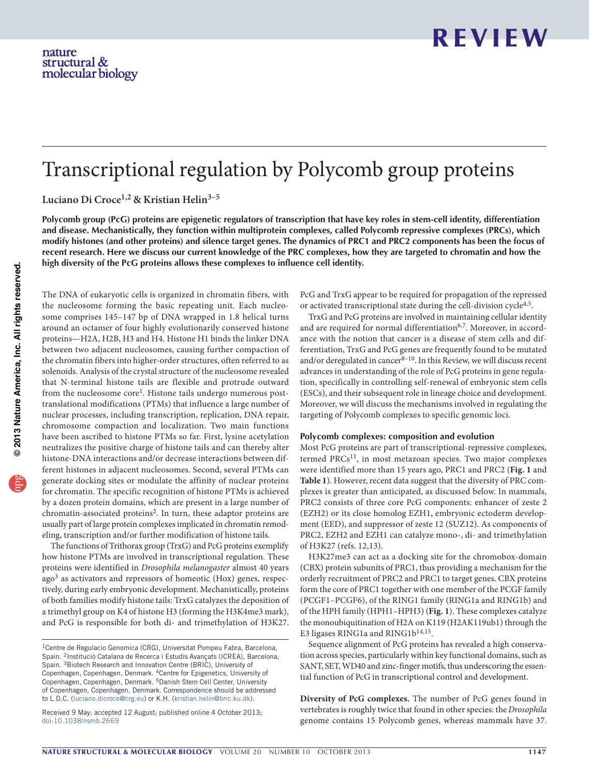# Transcriptional regulation by Polycomb group proteins

**Luciano Di Croce1,2 & Kristian Helin3–5**

Polycomb group (PcG) proteins are epigenetic regulators of transcription that have key roles in stem-cell identity, differentiation **and disease. Mechanistically, they function within multiprotein complexes, called Polycomb repressive complexes (PRCs), which** modify histones (and other proteins) and silence target genes. The dynamics of PRC1 and PRC2 components has been the focus of recent research. Here we discuss our current knowledge of the PRC complexes, how they are targeted to chromatin and how the **high diversity of the PcG proteins allows these complexes to influence cell identity.**

The DNA of eukaryotic cells is organized in chromatin fibers, with the nucleosome forming the basic repeating unit. Each nucleosome comprises 145–147 bp of DNA wrapped in 1.8 helical turns around an octamer of four highly evolutionarily conserved histone proteins—H2A, H2B, H3 and H4. Histone H1 binds the linker DNA between two adjacent nucleosomes, causing further compaction of the chromatin fibers into higher-order structures, often referred to as solenoids. Analysis of the crystal structure of the nucleosome revealed that N-terminal histone tails are flexible and protrude outward from the nucleosome core<sup>1</sup>. Histone tails undergo numerous posttranslational modifications (PTMs) that influence a large number of nuclear processes, including transcription, replication, DNA repair, chromosome compaction and localization. Two main functions have been ascribed to histone PTMs so far. First, lysine acetylation neutralizes the positive charge of histone tails and can thereby alter histone-DNA interactions and/or decrease interactions between different histones in adjacent nucleosomes. Second, several PTMs can generate docking sites or modulate the affinity of nuclear proteins for chromatin. The specific recognition of histone PTMs is achieved by a dozen protein domains, which are present in a large number of chromatin-associated proteins[2.](#page-6-1) In turn, these adaptor proteins are usually part of large protein complexes implicated in chromatin remodeling, transcription and/or further modification of histone tails.

The functions of Trithorax group (TrxG) and PcG proteins exemplify how histone PTMs are involved in transcriptional regulation. These proteins were identified in *Drosophila melanogaster* almost 40 years ago[3](#page-6-2) as activators and repressors of homeotic (Hox) genes, respectively, during early embryonic development. Mechanistically, proteins of both families modify histone tails: TrxG catalyzes the deposition of a trimethyl group on K4 of histone H3 (forming the H3K4me3 mark), and PcG is responsible for both di- and trimethylation of H3K27. PcG and TrxG appear to be required for propagation of the repressed or activated transcriptional state during the cell-division cycle<sup>[4,](#page-6-3)5</sup>.

TrxG and PcG proteins are involved in maintaining cellular identity and are required for normal differentiation<sup>[6,](#page-6-5)7</sup>. Moreover, in accordance with the notion that cancer is a disease of stem cells and differentiation, TrxG and PcG genes are frequently found to be mutated and/or deregulated in cancer $8-10$  $8-10$ . In this Review, we will discuss recent advances in understanding of the role of PcG proteins in gene regulation, specifically in controlling self-renewal of embryonic stem cells (ESCs), and their subsequent role in lineage choice and development. Moreover, we will discuss the mechanisms involved in regulating the targeting of Polycomb complexes to specific genomic loci.

#### **Polycomb complexes: composition and evolution**

Most PcG proteins are part of transcriptional-repressive complexes, termed PRCs<sup>11</sup>, in most metazoan species. Two major complexes were identified more than 15 years ago, PRC1 and PRC2 (**[Fig. 1](#page-1-0)** and **[Table 1](#page-1-1)**). However, recent data suggest that the diversity of PRC complexes is greater than anticipated, as discussed below. In mammals, PRC2 consists of three core PcG components: enhancer of zeste 2 (EZH2) or its close homolog EZH1, embryonic ectoderm development (EED), and suppressor of zeste 12 (SUZ12). As components of PRC2, EZH2 and EZH1 can catalyze mono-, di- and trimethylation of H3K27 (refs. [12,](#page-6-10)[13](#page-6-11)).

H3K27me3 can act as a docking site for the chromobox-domain (CBX) protein subunits of PRC1, thus providing a mechanism for the orderly recruitment of PRC2 and PRC1 to target genes. CBX proteins form the core of PRC1 together with one member of the PCGF family (PCGF1–PCGF6), of the RING1 family (RING1a and RING1b) and of the HPH family (HPH1–HPH3) (**[Fig. 1](#page-1-0)**). These complexes catalyze the monoubiquitination of H2A on K119 (H2AK119ub1) through the E3 ligases RING1a and RING1b<sup>[14,](#page-6-12)15</sup>.

Sequence alignment of PcG proteins has revealed a high conservation across species, particularly within key functional domains, such as SANT, SET, WD40 and zinc-finger motifs, thus underscoring the essential function of PcG in transcriptional control and development.

**Diversity of PcG complexes.** The number of PcG genes found in vertebrates is roughly twice that found in other species: the *Drosophila* genome contains 15 Polycomb genes, whereas mammals have 37.

<sup>1</sup>Centre de Regulacio Genomica (CRG), Universitat Pompeu Fabra, Barcelona, Spain. 2Institució Catalana de Recerca i Estudis Avançats (ICREA), Barcelona, Spain. 3Biotech Research and Innovation Centre (BRIC), University of Copenhagen, Copenhagen, Denmark. 4Centre for Epigenetics, University of Copenhagen, Copenhagen, Denmark. 5Danish Stem Cell Center, University of Copenhagen, Copenhagen, Denmark. Correspondence should be addressed to L.D.C. (luciano.dicroce@crg.eu) or K.H. (kristian.helin@bric.ku.dk).

Received 9 May; accepted 12 August; published online 4 October 2013; [doi:10.1038/nsmb.2669](http://www.nature.com/doifinder/10.1038/nsmb.2669)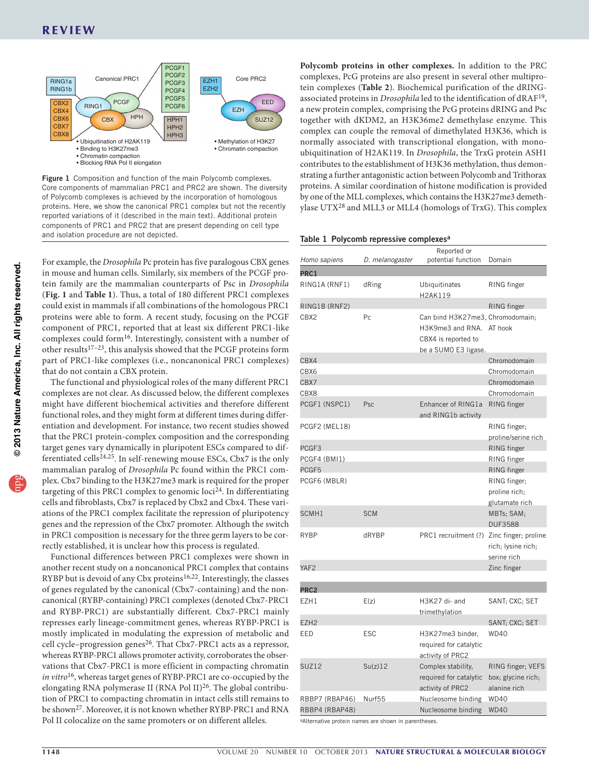

<span id="page-1-0"></span>Figure 1 Composition and function of the main Polycomb complexes. Core components of mammalian PRC1 and PRC2 are shown. The diversity of Polycomb complexes is achieved by the incorporation of homologous proteins. Here, we show the canonical PRC1 complex but not the recently reported variations of it (described in the main text). Additional protein components of PRC1 and PRC2 that are present depending on cell type and isolation procedure are not depicted.<br>
Table 1 Polycomb repressive complexes<sup>a</sup>

For example, the *Drosophila* Pc protein has five paralogous CBX genes in mouse and human cells. Similarly, six members of the PCGF protein family are the mammalian counterparts of Psc in *Drosophila* (**[Fig. 1](#page-1-0)** and **[Table 1](#page-1-1)**). Thus, a total of 180 different PRC1 complexes could exist in mammals if all combinations of the homologous PRC1 proteins were able to form. A recent study, focusing on the PCGF component of PRC1, reported that at least six different PRC1-like complexes could form<sup>16</sup>. Interestingly, consistent with a number of other results[17–](#page-6-15)[23](#page-6-16), this analysis showed that the PCGF proteins form part of PRC1-like complexes (i.e., noncanonical PRC1 complexes) that do not contain a CBX protein.

The functional and physiological roles of the many different PRC1 complexes are not clear. As discussed below, the different complexes might have different biochemical activities and therefore different functional roles, and they might form at different times during differentiation and development. For instance, two recent studies showed that the PRC1 protein-complex composition and the corresponding target genes vary dynamically in pluripotent ESCs compared to dif-ferentiated cells<sup>[24,](#page-6-17)[25](#page-6-18)</sup>. In self-renewing mouse ESCs, Cbx7 is the only mammalian paralog of *Drosophila* Pc found within the PRC1 complex. Cbx7 binding to the H3K27me3 mark is required for the proper targeting of this PRC1 complex to genomic loci<sup>24</sup>. In differentiating cells and fibroblasts, Cbx7 is replaced by Cbx2 and Cbx4. These variations of the PRC1 complex facilitate the repression of pluripotency genes and the repression of the Cbx7 promoter. Although the switch in PRC1 composition is necessary for the three germ layers to be correctly established, it is unclear how this process is regulated.

Functional differences between PRC1 complexes were shown in another recent study on a noncanonical PRC1 complex that contains RYBP but is devoid of any Cbx proteins<sup>[16,](#page-6-14)22</sup>. Interestingly, the classes of genes regulated by the canonical (Cbx7-containing) and the noncanonical (RYBP-containing) PRC1 complexes (denoted Cbx7-PRC1 and RYBP-PRC1) are substantially different. Cbx7-PRC1 mainly represses early lineage-commitment genes, whereas RYBP-PRC1 is mostly implicated in modulating the expression of metabolic and cell cycle–progression genes<sup>[26](#page-6-20)</sup>. That Cbx7-PRC1 acts as a repressor, whereas RYBP-PRC1 allows promoter activity, corroborates the observations that Cbx7-PRC1 is more efficient in compacting chromatin *in vitro*[16,](#page-6-14) whereas target genes of RYBP-PRC1 are co-occupied by the elongating RNA polymerase II (RNA Pol II)<sup>26</sup>. The global contribution of PRC1 to compacting chromatin in intact cells still remains to be shown<sup>27</sup>. Moreover, it is not known whether RYBP-PRC1 and RNA Pol II colocalize on the same promoters or on different alleles.

**Polycomb proteins in other complexes.** In addition to the PRC complexes, PcG proteins are also present in several other multiprotein complexes (**[Table 2](#page-2-0)**). Biochemical purification of the dRINGassociated proteins in *Drosophila* led to the identification of dRAF[19](#page-6-22), a new protein complex, comprising the PcG proteins dRING and Psc together with dKDM2, an H3K36me2 demethylase enzyme. This complex can couple the removal of dimethylated H3K36, which is normally associated with transcriptional elongation, with monoubiquitination of H2AK119. In *Drosophila*, the TrxG protein ASH1 contributes to the establishment of H3K36 methylation, thus demonstrating a further antagonistic action between Polycomb and Trithorax proteins. A similar coordination of histone modification is provided by one of the MLL complexes, which contains the H3K27me3 demethylase UTX[28](#page-6-23) and MLL3 or MLL4 (homologs of TrxG). This complex

<span id="page-1-1"></span>

| Homo sapiens     | D. melanogaster | Reported or<br>potential function                                                                           | Domain                                                  |
|------------------|-----------------|-------------------------------------------------------------------------------------------------------------|---------------------------------------------------------|
| PRC <sub>1</sub> |                 |                                                                                                             |                                                         |
| RING1A (RNF1)    | dRing           | Ubiquitinates<br>H2AK119                                                                                    | RING finger                                             |
| RING1B (RNF2)    |                 |                                                                                                             | RING finger                                             |
| CBX2             | Pc              | Can bind H3K27me3, Chromodomain;<br>H3K9me3 and RNA. AT hook<br>CBX4 is reported to<br>be a SUMO E3 ligase. |                                                         |
| CRX4             |                 |                                                                                                             | Chromodomain                                            |
| CBX6             |                 |                                                                                                             | Chromodomain                                            |
| CBX7             |                 |                                                                                                             | Chromodomain                                            |
| CBX8             |                 |                                                                                                             | Chromodomain                                            |
| PCGF1 (NSPC1)    | Psc             | Enhancer of RING1a<br>and RING1b activity                                                                   | RING finger                                             |
| PCGF2 (MEL18)    |                 |                                                                                                             | RING finger;<br>proline/serine rich                     |
| PCGF3            |                 |                                                                                                             | RING finger                                             |
| PCGF4 (BMI1)     |                 |                                                                                                             | RING finger                                             |
| PCGF5            |                 |                                                                                                             | RING finger                                             |
| PCGF6 (MBLR)     |                 |                                                                                                             | RING finger:                                            |
|                  |                 |                                                                                                             | proline rich:                                           |
|                  |                 |                                                                                                             | glutamate rich                                          |
| SCMH1            | <b>SCM</b>      |                                                                                                             | MBTs; SAM;<br><b>DUF3588</b>                            |
| RYBP             | dRYBP           | PRC1 recruitment (?) Zinc finger; proline                                                                   | rich; lysine rich;<br>serine rich                       |
| YAF <sub>2</sub> |                 |                                                                                                             | Zinc finger                                             |
| PRC <sub>2</sub> |                 |                                                                                                             |                                                         |
| EZH1             | E(z)            | H3K27 di- and<br>trimethylation                                                                             | SANT: CXC: SET                                          |
| EZH <sub>2</sub> |                 |                                                                                                             | SANT; CXC; SET                                          |
| EED              | <b>ESC</b>      | H3K27me3 binder,<br>required for catalytic<br>activity of PRC2                                              | <b>WD40</b>                                             |
| <b>SUZ12</b>     | Su(z)12         | Complex stability,<br>required for catalytic<br>activity of PRC2                                            | RING finger; VEFS<br>box; glycine rich;<br>alanine rich |
| RBBP7 (RBAP46)   | Nurf55          | Nucleosome binding                                                                                          | <b>WD40</b>                                             |
| RBBP4 (RBAP48)   |                 | Nucleosome binding                                                                                          | <b>WD40</b>                                             |
|                  |                 |                                                                                                             |                                                         |

aAlternative protein names are shown in parentheses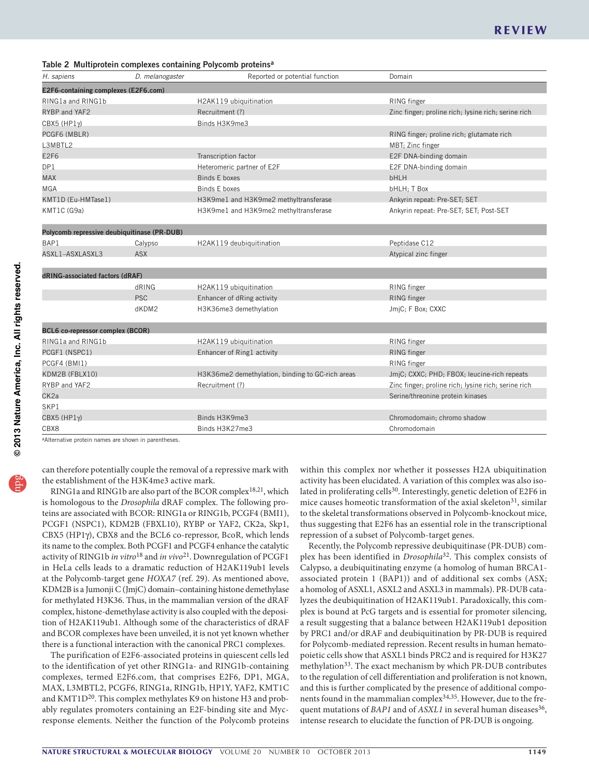#### <span id="page-2-0"></span>Table 2 Multiprotein complexes containing Polycomb proteinsa

| H. sapiens                                  | D. melanogaster | Reported or potential function        | Domain                                              |
|---------------------------------------------|-----------------|---------------------------------------|-----------------------------------------------------|
| E2F6-containing complexes (E2F6.com)        |                 |                                       |                                                     |
| RING1a and RING1b                           |                 | H2AK119 ubiquitination                | RING finger                                         |
| RYBP and YAF2                               |                 | Recruitment (?)                       | Zinc finger; proline rich; lysine rich; serine rich |
| $CBX5$ (HP1 $\gamma$ )                      |                 | Binds H3K9me3                         |                                                     |
| PCGF6 (MBLR)                                |                 |                                       | RING finger; proline rich; glutamate rich           |
| L3MBTL2                                     |                 |                                       | MBT: Zinc finger                                    |
| E <sub>2F6</sub>                            |                 | Transcription factor                  | E2F DNA-binding domain                              |
| DP1                                         |                 | Heteromeric partner of E2F            | E2F DNA-binding domain                              |
| <b>MAX</b>                                  |                 | Binds E boxes                         | <b>bHLH</b>                                         |
| <b>MGA</b>                                  |                 | <b>Binds E boxes</b>                  | bHLH; T Box                                         |
| KMT1D (Eu-HMTase1)                          |                 | H3K9me1 and H3K9me2 methyltransferase | Ankyrin repeat: Pre-SET; SET                        |
| KMT1C (G9a)                                 |                 | H3K9me1 and H3K9me2 methyltransferase | Ankyrin repeat: Pre-SET; SET; Post-SET              |
| Polycomb repressive deubiquitinase (PR-DUB) |                 |                                       |                                                     |
| BAP1                                        | Calypso         | H2AK119 deubiquitination              | Peptidase C12                                       |
| ASXL1-ASXLASXL3                             | <b>ASX</b>      |                                       | Atypical zinc finger                                |
| dRING-associated factors (dRAF)             |                 |                                       |                                                     |
|                                             | dRING           | H2AK119 ubiquitination                | RING finger                                         |
|                                             | <b>PSC</b>      | Enhancer of dRing activity            | RING finger                                         |
|                                             | dKDM2           | H3K36me3 demethylation                | JmjC; F Box; CXXC                                   |
| BCL6 co-repressor complex (BCOR)            |                 |                                       |                                                     |
| RING1a and RING1b                           |                 | H2AK119 ubiquitination                | RING finger                                         |
| $PCGF1$ $(NSPC1)$                           |                 | Enhancer of Ring1 activity            | RING finger                                         |

PCGF1 (NSPC1) Enhancer of Ring1 activity RING finger PCGF4 (BMI1) RING finger KDM2B (FBLX10) H3K36me2 demethylation, binding to GC-rich areas JmjC; CXXC; PHD; FBOX; leucine-rich repeats RYBP and YAF2 Recruitment (?) **RYBP** and YAF2 **Recruitment (?)** 2inc finger; proline rich; lysine rich; serine rich CK2a Serine/threonine protein kinases SKP1 CBX5 (HP1γ) Binds H3K9me3 Chromodomain; chromo shadow Binds H3K9me3 Chromodomain; chromo shadow CBX8 Binds H3K27me3 Chromodomain Chromodomain Binds H3K27me3

<sup>a</sup>Alternative protein names are shown in parentheses

can therefore potentially couple the removal of a repressive mark with the establishment of the H3K4me3 active mark.

RING1a and RING1b are also part of the BCOR complex<sup>[18,](#page-6-24)21</sup>, which is homologous to the *Drosophila* dRAF complex. The following proteins are associated with BCOR: RING1a or RING1b, PCGF4 (BMI1), PCGF1 (NSPC1), KDM2B (FBXL10), RYBP or YAF2, CK2a, Skp1, CBX5 (HP1γ), CBX8 and the BCL6 co-repressor, BcoR, which lends its name to the complex. Both PCGF1 and PCGF4 enhance the catalytic activity of RING1b *in vitro*[18](#page-6-24) and *in vivo*[21](#page-6-25). Downregulation of PCGF1 in HeLa cells leads to a dramatic reduction of H2AK119ub1 levels at the Polycomb-target gene *HOXA7* (ref. [29](#page-6-26)). As mentioned above, KDM2B is a Jumonji C (JmjC) domain–containing histone demethylase for methylated H3K36. Thus, in the mammalian version of the dRAF complex, histone-demethylase activity is also coupled with the deposition of H2AK119ub1. Although some of the characteristics of dRAF and BCOR complexes have been unveiled, it is not yet known whether there is a functional interaction with the canonical PRC1 complexes.

The purification of E2F6-associated proteins in quiescent cells led to the identification of yet other RING1a- and RING1b-containing complexes, termed E2F6.com, that comprises E2F6, DP1, MGA, MAX, L3MBTL2, PCGF6, RING1a, RING1b, HP1Y, YAF2, KMT1C and KMT1D<sup>[20](#page-6-27)</sup>. This complex methylates K9 on histone H3 and probably regulates promoters containing an E2F-binding site and Mycresponse elements. Neither the function of the Polycomb proteins

within this complex nor whether it possesses H2A ubiquitination activity has been elucidated. A variation of this complex was also isolated in proliferating cells<sup>30</sup>. Interestingly, genetic deletion of E2F6 in mice causes homeotic transformation of the axial skeleton $31$ , similar to the skeletal transformations observed in Polycomb-knockout mice, thus suggesting that E2F6 has an essential role in the transcriptional repression of a subset of Polycomb-target genes.

Recently, the Polycomb repressive deubiquitinase (PR-DUB) complex has been identified in *Drosophila*[32](#page-7-0). This complex consists of Calypso, a deubiquitinating enzyme (a homolog of human BRCA1 associated protein 1 (BAP1)) and of additional sex combs (ASX; a homolog of ASXL1, ASXL2 and ASXL3 in mammals). PR-DUB catalyzes the deubiquitination of H2AK119ub1. Paradoxically, this complex is bound at PcG targets and is essential for promoter silencing, a result suggesting that a balance between H2AK119ub1 deposition by PRC1 and/or dRAF and deubiquitination by PR-DUB is required for Polycomb-mediated repression. Recent results in human hematopoietic cells show that ASXL1 binds PRC2 and is required for H3K27 methylation<sup>33</sup>. The exact mechanism by which PR-DUB contributes to the regulation of cell differentiation and proliferation is not known, and this is further complicated by the presence of additional compo-nents found in the mammalian complex<sup>[34,](#page-7-2)[35](#page-7-3)</sup>. However, due to the frequent mutations of *BAP1* and of *ASXL1* in several human diseases<sup>[36](#page-7-4)</sup>, intense research to elucidate the function of PR-DUB is ongoing.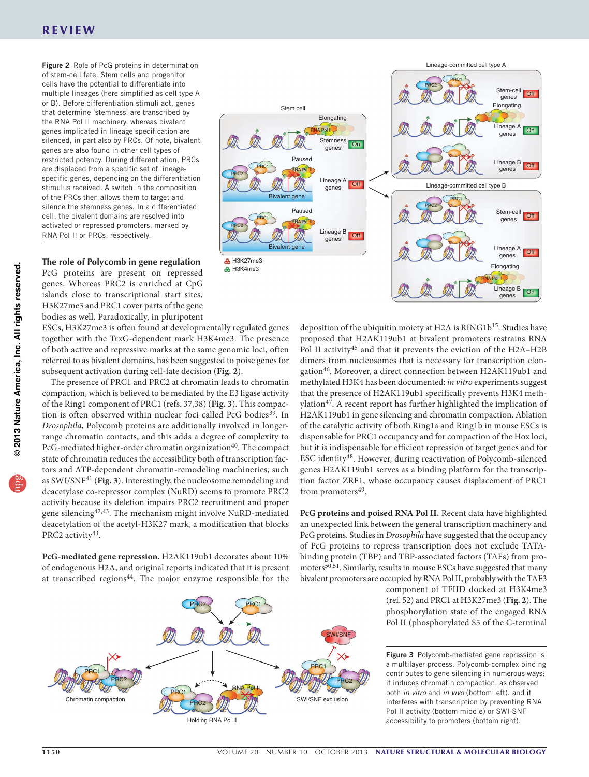# REVIEW

<span id="page-3-0"></span>Figure 2 Role of PcG proteins in determination of stem-cell fate. Stem cells and progenitor cells have the potential to differentiate into multiple lineages (here simplified as cell type A or B). Before differentiation stimuli act, genes that determine 'stemness' are transcribed by the RNA Pol II machinery, whereas bivalent genes implicated in lineage specification are silenced, in part also by PRCs. Of note, bivalent genes are also found in other cell types of restricted potency. During differentiation, PRCs are displaced from a specific set of lineagespecific genes, depending on the differentiation stimulus received. A switch in the composition of the PRCs then allows them to target and silence the stemness genes. In a differentiated cell, the bivalent domains are resolved into activated or repressed promoters, marked by RNA Pol II or PRCs, respectively.

**The role of Polycomb in gene regulation** PcG proteins are present on repressed genes. Whereas PRC2 is enriched at CpG islands close to transcriptional start sites, H3K27me3 and PRC1 cover parts of the gene bodies as well. Paradoxically, in pluripotent

ESCs, H3K27me3 is often found at developmentally regulated genes together with the TrxG-dependent mark H3K4me3. The presence of both active and repressive marks at the same genomic loci, often referred to as bivalent domains, has been suggested to poise genes for subsequent activation during cell-fate decision (**[Fig. 2](#page-3-0)**).

The presence of PRC1 and PRC2 at chromatin leads to chromatin compaction, which is believed to be mediated by the E3 ligase activity of the Ring1 component of PRC1 (refs. [37,](#page-7-5)[38\)](#page-7-6) (**[Fig. 3](#page-3-1)**). This compac-tion is often observed within nuclear foci called PcG bodies<sup>[39](#page-7-7)</sup>. In *Drosophila*, Polycomb proteins are additionally involved in longerrange chromatin contacts, and this adds a degree of complexity to PcG-mediated higher-order chromatin organization<sup>40</sup>. The compact state of chromatin reduces the accessibility both of transcription factors and ATP-dependent chromatin-remodeling machineries, such as SWI/SNF[41](#page-7-9) (**[Fig. 3](#page-3-1)**). Interestingly, the nucleosome remodeling and deacetylase co-repressor complex (NuRD) seems to promote PRC2 activity because its deletion impairs PRC2 recruitment and proper gene silencing[42,](#page-7-10)[43](#page-7-11). The mechanism might involve NuRD-mediated deacetylation of the acetyl-H3K27 mark, a modification that blocks PRC2 activity<sup>43</sup>.

**PcG-mediated gene repression.** H2AK119ub1 decorates about 10% of endogenous H2A, and original reports indicated that it is present at transcribed regions[44.](#page-7-12) The major enzyme responsible for the



deposition of the ubiquitin moiety at H2A is RING1b<sup>15</sup>. Studies have proposed that H2AK119ub1 at bivalent promoters restrains RNA Pol II activity<sup>45</sup> and that it prevents the eviction of the H2A-H2B dimers from nucleosomes that is necessary for transcription elongation[46.](#page-7-14) Moreover, a direct connection between H2AK119ub1 and methylated H3K4 has been documented: *in vitro* experiments suggest that the presence of H2AK119ub1 specifically prevents H3K4 methylation<sup>47</sup>. A recent report has further highlighted the implication of H2AK119ub1 in gene silencing and chromatin compaction. Ablation of the catalytic activity of both Ring1a and Ring1b in mouse ESCs is dispensable for PRC1 occupancy and for compaction of the Hox loci, but it is indispensable for efficient repression of target genes and for ESC identity[48](#page-7-16). However, during reactivation of Polycomb-silenced genes H2AK119ub1 serves as a binding platform for the transcription factor ZRF1, whose occupancy causes displacement of PRC1 from promoters<sup>49</sup>.

**PcG proteins and poised RNA Pol II.** Recent data have highlighted an unexpected link between the general transcription machinery and PcG proteins. Studies in *Drosophila* have suggested that the occupancy of PcG proteins to repress transcription does not exclude TATAbinding protein (TBP) and TBP-associated factors (TAFs) from pro-moters<sup>[50,](#page-7-18)[51](#page-7-19)</sup>. Similarly, results in mouse ESCs have suggested that many bivalent promoters are occupied by RNA Pol II, probably with the TAF3

component of TFIID docked at H3K4me3 (ref. [52](#page-7-20)) and PRC1 at H3K27me3 (**[Fig. 2](#page-3-0)**). The phosphorylation state of the engaged RNA Pol II (phosphorylated S5 of the C-terminal

<span id="page-3-1"></span>Figure 3 Polycomb-mediated gene repression is a multilayer process. Polycomb-complex binding contributes to gene silencing in numerous ways: it induces chromatin compaction, as observed both *in vitro* and *in vivo* (bottom left), and it interferes with transcription by preventing RNA Pol II activity (bottom middle) or SWI-SNF accessibility to promoters (bottom right).

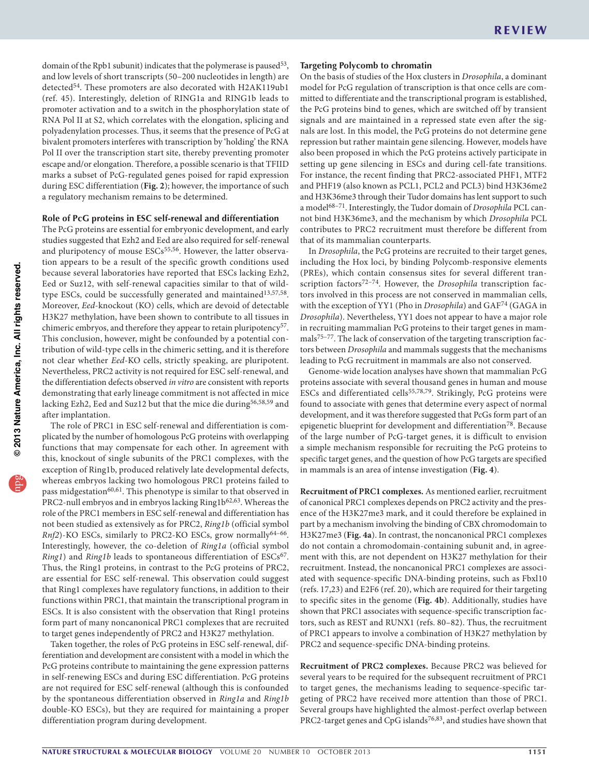domain of the Rpb1 subunit) indicates that the polymerase is paused<sup>[53](#page-7-21)</sup>, and low levels of short transcripts (50–200 nucleotides in length) are detected<sup>54</sup>. These promoters are also decorated with H2AK119ub1 (ref. [45](#page-7-13)). Interestingly, deletion of RING1a and RING1b leads to promoter activation and to a switch in the phosphorylation state of RNA Pol II at S2, which correlates with the elongation, splicing and polyadenylation processes. Thus, it seems that the presence of PcG at bivalent promoters interferes with transcription by 'holding' the RNA Pol II over the transcription start site, thereby preventing promoter escape and/or elongation. Therefore, a possible scenario is that TFIID marks a subset of PcG-regulated genes poised for rapid expression during ESC differentiation (**[Fig. 2](#page-3-0)**); however, the importance of such a regulatory mechanism remains to be determined.

### **Role of PcG proteins in ESC self-renewal and differentiation**

The PcG proteins are essential for embryonic development, and early studies suggested that Ezh2 and Eed are also required for self-renewal and pluripotency of mouse ESCs<sup>[55,](#page-7-23)[56](#page-7-24)</sup>. However, the latter observation appears to be a result of the specific growth conditions used because several laboratories have reported that ESCs lacking Ezh2, Eed or Suz12, with self-renewal capacities similar to that of wild-type ESCs, could be successfully generated and maintained<sup>[13,](#page-6-11)[57,](#page-7-25)[58](#page-7-26)</sup>. Moreover, *Eed*-knockout (KO) cells, which are devoid of detectable H3K27 methylation, have been shown to contribute to all tissues in chimeric embryos, and therefore they appear to retain pluripotency<sup>[57](#page-7-25)</sup>. This conclusion, however, might be confounded by a potential contribution of wild-type cells in the chimeric setting, and it is therefore not clear whether *Eed*-KO cells, strictly speaking, are pluripotent. Nevertheless, PRC2 activity is not required for ESC self-renewal, and the differentiation defects observed *in vitro* are consistent with reports demonstrating that early lineage commitment is not affected in mice lacking Ezh2, Eed and Suz12 but that the mice die during<sup>[56,](#page-7-24)[58,](#page-7-26)59</sup> and after implantation.

The role of PRC1 in ESC self-renewal and differentiation is complicated by the number of homologous PcG proteins with overlapping functions that may compensate for each other. In agreement with this, knockout of single subunits of the PRC1 complexes, with the exception of Ring1b, produced relatively late developmental defects, whereas embryos lacking two homologous PRC1 proteins failed to pass midgestation<sup>[60,](#page-7-28)[61](#page-7-29)</sup>. This phenotype is similar to that observed in PRC2-null embryos and in embryos lacking Ring1b<sup>[62,](#page-7-30)[63](#page-7-31)</sup>. Whereas the role of the PRC1 members in ESC self-renewal and differentiation has not been studied as extensively as for PRC2, *Ring1b* (official symbol *Rnf2*)-KO ESCs, similarly to PRC2-KO ESCs, grow normally<sup>64-[66](#page-7-33)</sup>. Interestingly, however, the co-deletion of *Ring1a* (official symbol *Ring1*) and *Ring1b* leads to spontaneous differentiation of ESCs<sup>[67](#page-7-34)</sup>. Thus, the Ring1 proteins, in contrast to the PcG proteins of PRC2, are essential for ESC self-renewal. This observation could suggest that Ring1 complexes have regulatory functions, in addition to their functions within PRC1, that maintain the transcriptional program in ESCs. It is also consistent with the observation that Ring1 proteins form part of many noncanonical PRC1 complexes that are recruited to target genes independently of PRC2 and H3K27 methylation.

Taken together, the roles of PcG proteins in ESC self-renewal, differentiation and development are consistent with a model in which the PcG proteins contribute to maintaining the gene expression patterns in self-renewing ESCs and during ESC differentiation. PcG proteins are not required for ESC self-renewal (although this is confounded by the spontaneous differentiation observed in *Ring1a* and *Ring1b* double-KO ESCs), but they are required for maintaining a proper differentiation program during development.

### **Targeting Polycomb to chromatin**

On the basis of studies of the Hox clusters in *Drosophila*, a dominant model for PcG regulation of transcription is that once cells are committed to differentiate and the transcriptional program is established, the PcG proteins bind to genes, which are switched off by transient signals and are maintained in a repressed state even after the signals are lost. In this model, the PcG proteins do not determine gene repression but rather maintain gene silencing. However, models have also been proposed in which the PcG proteins actively participate in setting up gene silencing in ESCs and during cell-fate transitions. For instance, the recent finding that PRC2-associated PHF1, MTF2 and PHF19 (also known as PCL1, PCL2 and PCL3) bind H3K36me2 and H3K36me3 through their Tudor domains has lent support to such a model<sup>68-[71](#page-7-36)</sup>. Interestingly, the Tudor domain of *Drosophila* PCL cannot bind H3K36me3, and the mechanism by which *Drosophila* PCL contributes to PRC2 recruitment must therefore be different from that of its mammalian counterparts.

In *Drosophila*, the PcG proteins are recruited to their target genes, including the Hox loci, by binding Polycomb-responsive elements (PREs), which contain consensus sites for several different transcription factors<sup>72-74</sup>. However, the *Drosophila* transcription factors involved in this process are not conserved in mammalian cells, with the exception of YY1 (Pho in *Drosophila*) and GAF[74](#page-7-38) (GAGA in *Drosophila*). Nevertheless, YY1 does not appear to have a major role in recruiting mammalian PcG proteins to their target genes in mammals<sup>75-77</sup>. The lack of conservation of the targeting transcription factors between *Drosophila* and mammals suggests that the mechanisms leading to PcG recruitment in mammals are also not conserved.

Genome-wide location analyses have shown that mammalian PcG proteins associate with several thousand genes in human and mouse ESCs and differentiated cells<sup>[55,](#page-7-23)[78,](#page-7-41)[79](#page-7-42)</sup>. Strikingly, PcG proteins were found to associate with genes that determine every aspect of normal development, and it was therefore suggested that PcGs form part of an epigenetic blueprint for development and differentiation<sup>78</sup>. Because of the large number of PcG-target genes, it is difficult to envision a simple mechanism responsible for recruiting the PcG proteins to specific target genes, and the question of how PcG targets are specified in mammals is an area of intense investigation (**[Fig. 4](#page-5-0)**).

**Recruitment of PRC1 complexes.** As mentioned earlier, recruitment of canonical PRC1 complexes depends on PRC2 activity and the presence of the H3K27me3 mark, and it could therefore be explained in part by a mechanism involving the binding of CBX chromodomain to H3K27me3 (**[Fig. 4a](#page-5-0)**). In contrast, the noncanonical PRC1 complexes do not contain a chromodomain-containing subunit and, in agreement with this, are not dependent on H3K27 methylation for their recruitment. Instead, the noncanonical PRC1 complexes are associated with sequence-specific DNA-binding proteins, such as Fbxl10 (refs. [17,](#page-6-15)[23\)](#page-6-16) and E2F6 (ref. [20\)](#page-6-27), which are required for their targeting to specific sites in the genome (**[Fig. 4b](#page-5-0)**). Additionally, studies have shown that PRC1 associates with sequence-specific transcription factors, such as REST and RUNX1 (refs. [80–](#page-7-43)[82](#page-7-44)). Thus, the recruitment of PRC1 appears to involve a combination of H3K27 methylation by PRC2 and sequence-specific DNA-binding proteins.

**Recruitment of PRC2 complexes.** Because PRC2 was believed for several years to be required for the subsequent recruitment of PRC1 to target genes, the mechanisms leading to sequence-specific targeting of PRC2 have received more attention than those of PRC1. Several groups have highlighted the almost-perfect overlap between PRC2-target genes and CpG islands<sup>[76,](#page-7-45)[83](#page-7-46)</sup>, and studies have shown that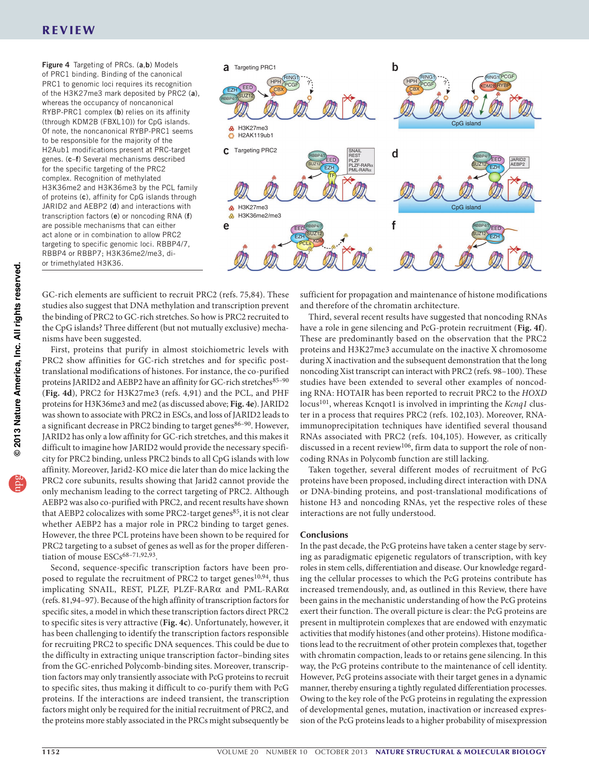# REVIEW

<span id="page-5-0"></span>Figure 4 Targeting of PRCs. (a,b) Models of PRC1 binding. Binding of the canonical PRC1 to genomic loci requires its recognition of the H3K27me3 mark deposited by PRC2 (a), whereas the occupancy of noncanonical RYBP-PRC1 complex (b) relies on its affinity (through KDM2B (FBXL10)) for CpG islands. Of note, the noncanonical RYBP-PRC1 seems to be responsible for the majority of the H2Aub1 modifications present at PRC-target genes. (c–f) Several mechanisms described for the specific targeting of the PRC2 complex. Recognition of methylated H3K36me2 and H3K36me3 by the PCL family of proteins (c), affinity for CpG islands through JARID2 and AEBP2 (d) and interactions with transcription factors (e) or noncoding RNA (f) are possible mechanisms that can either act alone or in combination to allow PRC2 targeting to specific genomic loci. RBBP4/7, RBBP4 or RBBP7; H3K36me2/me3, dior trimethylated H3K36.



GC-rich elements are sufficient to recruit PRC2 (refs. [75,](#page-7-39)[84\)](#page-7-47). These studies also suggest that DNA methylation and transcription prevent the binding of PRC2 to GC-rich stretches. So how is PRC2 recruited to the CpG islands? Three different (but not mutually exclusive) mechanisms have been suggested.

First, proteins that purify in almost stoichiometric levels with PRC2 show affinities for GC-rich stretches and for specific posttranslational modifications of histones. For instance, the co-purified proteins JARID2 and AEBP2 have an affinity for GC-rich stretches<sup>85-[90](#page-7-49)</sup> (**[Fig. 4d](#page-5-0)**), PRC2 for H3K27me3 (refs. [4,](#page-6-3)[91](#page-7-50)) and the PCL, and PHF proteins for H3K36me3 and me2 (as discussed above; **[Fig. 4e](#page-5-0)**). JARID2 was shown to associate with PRC2 in ESCs, and loss of JARID2 leads to a significant decrease in PRC2 binding to target genes<sup>86-[90](#page-7-49)</sup>. However, JARID2 has only a low affinity for GC-rich stretches, and this makes it difficult to imagine how JARID2 would provide the necessary specificity for PRC2 binding, unless PRC2 binds to all CpG islands with low affinity. Moreover, Jarid2-KO mice die later than do mice lacking the PRC2 core subunits, results showing that Jarid2 cannot provide the only mechanism leading to the correct targeting of PRC2. Although AEBP2 was also co-purified with PRC2, and recent results have shown that AEBP2 colocalizes with some PRC2-target genes<sup>[85](#page-7-48)</sup>, it is not clear whether AEBP2 has a major role in PRC2 binding to target genes. However, the three PCL proteins have been shown to be required for PRC2 targeting to a subset of genes as well as for the proper differen-tiation of mouse ESCs<sup>68-[71,](#page-7-36)[92,](#page-7-52)93</sup>.

Second, sequence-specific transcription factors have been pro-posed to regulate the recruitment of PRC2 to target genes<sup>[10,](#page-6-8)[94](#page-8-0)</sup>, thus implicating SNAIL, REST, PLZF, PLZF-RARα and PML-RARα (refs. [81,](#page-7-54)[94–](#page-8-0)[97\)](#page-8-1). Because of the high affinity of transcription factors for specific sites, a model in which these transcription factors direct PRC2 to specific sites is very attractive (**[Fig. 4c](#page-5-0)**). Unfortunately, however, it has been challenging to identify the transcription factors responsible for recruiting PRC2 to specific DNA sequences. This could be due to the difficulty in extracting unique transcription factor–binding sites from the GC-enriched Polycomb-binding sites. Moreover, transcription factors may only transiently associate with PcG proteins to recruit to specific sites, thus making it difficult to co-purify them with PcG proteins. If the interactions are indeed transient, the transcription factors might only be required for the initial recruitment of PRC2, and the proteins more stably associated in the PRCs might subsequently be

sufficient for propagation and maintenance of histone modifications and therefore of the chromatin architecture.

Third, several recent results have suggested that noncoding RNAs have a role in gene silencing and PcG-protein recruitment (**[Fig. 4f](#page-5-0)**). These are predominantly based on the observation that the PRC2 proteins and H3K27me3 accumulate on the inactive X chromosome during X inactivation and the subsequent demonstration that the long noncoding Xist transcript can interact with PRC2 (refs. [98–](#page-8-2)[100\)](#page-8-3). These studies have been extended to several other examples of noncoding RNA: HOTAIR has been reported to recruit PRC2 to the *HOXD* locus[101](#page-8-4), whereas Kcnqot1 is involved in imprinting the *Kcnq1* cluster in a process that requires PRC2 (refs. [102,](#page-8-5)[103\)](#page-8-6). Moreover, RNAimmunoprecipitation techniques have identified several thousand RNAs associated with PRC2 (refs. [104,](#page-8-7)[105\)](#page-8-8). However, as critically discussed in a recent review<sup>106</sup>, firm data to support the role of noncoding RNAs in Polycomb function are still lacking.

Taken together, several different modes of recruitment of PcG proteins have been proposed, including direct interaction with DNA or DNA-binding proteins, and post-translational modifications of histone H3 and noncoding RNAs, yet the respective roles of these interactions are not fully understood.

#### **Conclusions**

In the past decade, the PcG proteins have taken a center stage by serving as paradigmatic epigenetic regulators of transcription, with key roles in stem cells, differentiation and disease. Our knowledge regarding the cellular processes to which the PcG proteins contribute has increased tremendously, and, as outlined in this Review, there have been gains in the mechanistic understanding of how the PcG proteins exert their function. The overall picture is clear: the PcG proteins are present in multiprotein complexes that are endowed with enzymatic activities that modify histones (and other proteins). Histone modifications lead to the recruitment of other protein complexes that, together with chromatin compaction, leads to or retains gene silencing. In this way, the PcG proteins contribute to the maintenance of cell identity. However, PcG proteins associate with their target genes in a dynamic manner, thereby ensuring a tightly regulated differentiation processes. Owing to the key role of the PcG proteins in regulating the expression of developmental genes, mutation, inactivation or increased expression of the PcG proteins leads to a higher probability of misexpression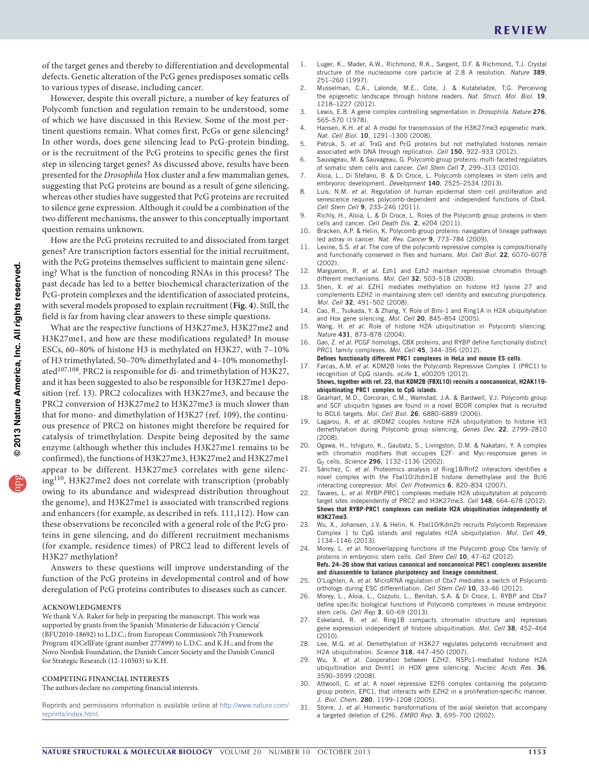of the target genes and thereby to differentiation and developmental defects. Genetic alteration of the PcG genes predisposes somatic cells to various types of disease, including cancer.

However, despite this overall picture, a number of key features of Polycomb function and regulation remain to be understood, some of which we have discussed in this Review. Some of the most pertinent questions remain. What comes first, PcGs or gene silencing? In other words, does gene silencing lead to PcG-protein binding, or is the recruitment of the PcG proteins to specific genes the first step in silencing target genes? As discussed above, results have been presented for the *Drosophila* Hox cluster and a few mammalian genes, suggesting that PcG proteins are bound as a result of gene silencing, whereas other studies have suggested that PcG proteins are recruited to silence gene expression. Although it could be a combination of the two different mechanisms, the answer to this conceptually important question remains unknown.

How are the PcG proteins recruited to and dissociated from target genes? Are transcription factors essential for the initial recruitment, with the PcG proteins themselves sufficient to maintain gene silencing? What is the function of noncoding RNAs in this process? The past decade has led to a better biochemical characterization of the PcG-protein complexes and the identification of associated proteins, with several models proposed to explain recruitment (**[Fig. 4](#page-5-0)**). Still, the field is far from having clear answers to these simple questions.

What are the respective functions of H3K27me3, H3K27me2 and H3K27me1, and how are these modifications regulated? In mouse ESCs, 60–80% of histone H3 is methylated on H3K27, with 7–10% of H3 trimethylated, 50–70% dimethylated and 4–10% monomethyl-ated<sup>[107,](#page-8-10)108</sup>. PRC2 is responsible for di- and trimethylation of H3K27, and it has been suggested to also be responsible for H3K27me1 deposition (ref. [13](#page-6-11)). PRC2 colocalizes with H3K27me3, and because the PRC2 conversion of H3K27me2 to H3K27me3 is much slower than that for mono- and dimethylation of H3K27 (ref. [109](#page-8-12)), the continuous presence of PRC2 on histones might therefore be required for catalysis of trimethylation. Despite being deposited by the same enzyme (although whether this includes H3K27me1 remains to be confirmed), the functions of H3K27me3, H3K27me2 and H3K27me1 appear to be different. H3K27me3 correlates with gene silencing[110](#page-8-13), H3K27me2 does not correlate with transcription (probably owing to its abundance and widespread distribution throughout the genome), and H3K27me1 is associated with transcribed regions and enhancers (for example, as described in refs. [111,](#page-8-14)[112\)](#page-8-15). How can these observations be reconciled with a general role of the PcG proteins in gene silencing, and do different recruitment mechanisms (for example, residence times) of PRC2 lead to different levels of H3K27 methylation?

Answers to these questions will improve understanding of the function of the PcG proteins in developmental control and of how deregulation of PcG proteins contributes to diseases such as cancer.

#### **Acknowledgments**

We thank V.A. Raker for help in preparing the manuscript. This work was supported by grants from the Spanish 'Ministerio de Educación y Ciencia' (BFU2010-18692) to L.D.C.; from European Commission's 7th Framework Program 4DCellFate (grant number 277899) to L.D.C. and K.H.; and from the Novo Nordisk Foundation, the Danish Cancer Society and the Danish Council for Strategic Research (12-110503) to K.H.

#### **COMPETING FINANCIAL INTERESTS**

The authors declare no competing financial interests.

Reprints and permissions information is available online at [http://www.nature.com/](http://www.nature.com/reprints/index.html) [reprints/index.html](http://www.nature.com/reprints/index.html).

- <span id="page-6-0"></span>1. Luger, K., Mader, A.W., Richmond, R.K., Sargent, D.F. & Richmond, T.J. Crystal structure of the nucleosome core particle at 2.8 A resolution. *Nature* 389, 251–260 (1997).
- <span id="page-6-1"></span>2. Musselman, C.A., Lalonde, M.E., Cote, J. & Kutateladze, T.G. Perceiving the epigenetic landscape through histone readers. *Nat. Struct. Mol. Biol.* 19, 1218–1227 (2012).
- <span id="page-6-2"></span>3. Lewis, E.B. A gene complex controlling segmentation in *Drosophila*. *Nature* 276, 565–570 (1978).
- <span id="page-6-3"></span>4. Hansen, K.H. *et al.* A model for transmission of the H3K27me3 epigenetic mark. *Nat. Cell Biol.* 10, 1291–1300 (2008).
- <span id="page-6-4"></span>5. Petruk, S. *et al.* TrxG and PcG proteins but not methylated histones remain associated with DNA through replication. *Cell* 150, 922–933 (2012).
- <span id="page-6-5"></span>6. Sauvageau, M. & Sauvageau, G. Polycomb group proteins: multi-faceted regulators of somatic stem cells and cancer. *Cell Stem Cell* 7, 299–313 (2010).
- <span id="page-6-6"></span>7. Aloia, L., Di Stefano, B. & Di Croce, L. Polycomb complexes in stem cells and embryonic development. *Development* 140, 2525–2534 (2013).
- <span id="page-6-7"></span>8. Luis, N.M. *et al.* Regulation of human epidermal stem cell proliferation and senescence requires polycomb-dependent and -independent functions of Cbx4. *Cell Stem Cell* 9, 233–246 (2011).
- 9. Richly, H., Aloia, L. & Di Croce, L. Roles of the Polycomb group proteins in stem cells and cancer. *Cell Death Dis.* 2, e204 (2011).
- <span id="page-6-8"></span>10. Bracken, A.P. & Helin, K. Polycomb group proteins: navigators of lineage pathways led astray in cancer. *Nat. Rev. Cancer* 9, 773–784 (2009).
- <span id="page-6-9"></span>11. Levine, S.S. *et al.* The core of the polycomb repressive complex is compositionally and functionally conserved in flies and humans. *Mol. Cell Biol.* 22, 6070–6078 (2002).
- <span id="page-6-10"></span>12. Margueron, R. *et al.* Ezh1 and Ezh2 maintain repressive chromatin through different mechanisms. *Mol. Cell* 32, 503–518 (2008).
- <span id="page-6-11"></span>13. Shen, X. *et al.* EZH1 mediates methylation on histone H3 lysine 27 and complements EZH2 in maintaining stem cell identity and executing pluripotency. *Mol. Cell* 32, 491–502 (2008).
- <span id="page-6-12"></span>14. Cao, R., Tsukada, Y. & Zhang, Y. Role of Bmi-1 and Ring1A in H2A ubiquitylation and Hox gene silencing. *Mol. Cell* 20, 845–854 (2005).
- <span id="page-6-13"></span>15. Wang, H. *et al.* Role of histone H2A ubiquitination in Polycomb silencing. *Nature* 431, 873–878 (2004).
- <span id="page-6-14"></span>16. Gao, Z. *et al.* PCGF homologs, CBX proteins, and RYBP define functionally distinct PRC1 family complexes. *Mol. Cell* 45, 344–356 (2012). **Defines functionally different PRC1 complexes in HeLa and mouse ES cells**.
- <span id="page-6-15"></span>17. Farcas, A.M. *et al.* KDM2B links the Polycomb Repressive Complex 1 (PRC1) to recognition of CpG islands. *eLife* 1, e00205 (2012). **Shows, together with ref. 23, that KDM2B (FBXL10) recruits a noncanonical, H2AK119-**
- **ubiquitinating PRC1 complex to CpG islands**. 18. Gearhart, M.D., Corcoran, C.M., Wamstad, J.A. & Bardwell, V.J. Polycomb group
- <span id="page-6-24"></span>and SCF ubiquitin ligases are found in a novel BCOR complex that is recruited to BCL6 targets. *Mol. Cell Biol.* 26, 6880–6889 (2006).
- <span id="page-6-22"></span>Lagarou, A. et al. dKDM2 couples histone H2A ubiquitylation to histone H3 demethylation during Polycomb group silencing. *Genes Dev.* 22, 2799–2810 (2008).
- <span id="page-6-27"></span>20. Ogawa, H., Ishiguro, K., Gaubatz, S., Livingston, D.M. & Nakatani, Y. A complex with chromatin modifiers that occupies E2F- and Myc-responsive genes in G0 cells. *Science* 296, 1132–1136 (2002).
- <span id="page-6-25"></span>21. Sánchez, C. *et al.* Proteomics analysis of Ring1B/Rnf2 interactors identifies a novel complex with the Fbxl10/Jhdm1B histone demethylase and the Bcl6 interacting corepressor. *Mol. Cell Proteomics* 6, 820–834 (2007).
- <span id="page-6-19"></span>22. Tavares, L. *et al.* RYBP-PRC1 complexes mediate H2A ubiquitylation at polycomb target sites independently of PRC2 and H3K27me3. *Cell* 148, 664–678 (2012). **Shows that RYBP-PRC1 complexes can mediate H2A ubiquitination independently of H3K27me3**.
- <span id="page-6-16"></span>23. Wu, X., Johansen, J.V. & Helin, K. Fbxl10/Kdm2b recruits Polycomb Repressive Complex 1 to CpG islands and regulates H2A ubiquitylation. *Mol. Cell* 49, 1134–1146 (2013).
- <span id="page-6-17"></span>24. Morey, L. *et al.* Nonoverlapping functions of the Polycomb group Cbx family of proteins in embryonic stem cells. *Cell Stem Cell* 10, 47–62 (2012). **Refs. 24–26 show that various canonical and noncanonical PRC1 complexes assemble and disassemble to balance pluripotency and lineage commitment**.
- <span id="page-6-18"></span>25. O'Loghlen, A. *et al.* MicroRNA regulation of Cbx7 mediates a switch of Polycomb orthologs during ESC differentiation. *Cell Stem Cell* 10, 33–46 (2012).
- <span id="page-6-20"></span>26. Morey, L., Aloia, L., Cozzuto, L., Benitah, S.A. & Di Croce, L. RYBP and Cbx7 define specific biological functions of Polycomb complexes in mouse embryonic stem cells. *Cell Rep* 3, 60–69 (2013).
- <span id="page-6-21"></span>27. Eskeland, R. *et al.* Ring1B compacts chromatin structure and represses gene expression independent of histone ubiquitination. *Mol. Cell* 38, 452–464 (2010).
- <span id="page-6-23"></span>28. Lee, M.G. *et al.* Demethylation of H3K27 regulates polycomb recruitment and H2A ubiquitination. *Science* 318, 447–450 (2007).
- <span id="page-6-26"></span>29. Wu, X. *et al.* Cooperation between EZH2, NSPc1-mediated histone H2A ubiquitination and Dnmt1 in HOX gene silencing. *Nucleic Acids Res.* 36, 3590–3599 (2008).
- <span id="page-6-28"></span>30. Attwooll, C. *et al.* A novel repressive E2F6 complex containing the polycomb group protein, EPC1, that interacts with EZH2 in a proliferation-specific manner. *J. Biol. Chem.* 280, 1199–1208 (2005).
- <span id="page-6-29"></span>31. Storre, J. *et al.* Homeotic transformations of the axial skeleton that accompany a targeted deletion of E2f6. *EMBO Rep.* 3, 695–700 (2002).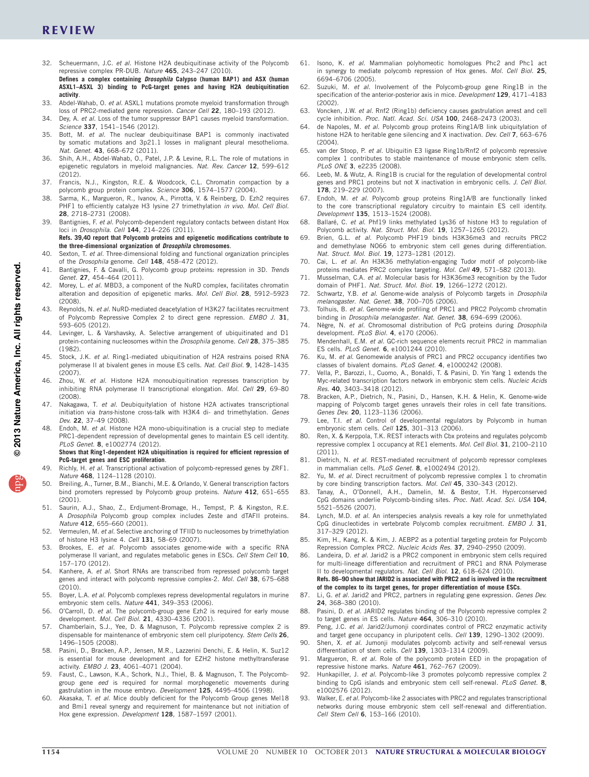# REVIEW

- <span id="page-7-0"></span>32. Scheuermann, J.C. *et al.* Histone H2A deubiquitinase activity of the Polycomb repressive complex PR-DUB. *Nature* 465, 243–247 (2010). **Defines a complex containing** *Drosophila* **Calypso (human BAP1) and ASX (human**
- **ASXL1–ASXL 3) binding to PcG-target genes and having H2A deubiquitination activity**. 33. Abdel-Wahab, O. *et al.* ASXL1 mutations promote myeloid transformation through
- <span id="page-7-2"></span><span id="page-7-1"></span>loss of PRC2-mediated gene repression. *Cancer Cell* 22, 180–193 (2012). 34. Dey, A. *et al.* Loss of the tumor suppressor BAP1 causes myeloid transformation.
- <span id="page-7-3"></span>*Science* 337, 1541–1546 (2012). 35. Bott, M. *et al.* The nuclear deubiquitinase BAP1 is commonly inactivated by somatic mutations and 3p21.1 losses in malignant pleural mesothelioma.
- <span id="page-7-4"></span>*Nat. Genet.* 43, 668–672 (2011). 36. Shih, A.H., Abdel-Wahab, O., Patel, J.P. & Levine, R.L. The role of mutations in epigenetic regulators in myeloid malignancies. *Nat. Rev. Cancer* 12, 599–612
- <span id="page-7-5"></span> $(2012)$ . 37. Francis, N.J., Kingston, R.E. & Woodcock, C.L. Chromatin compaction by a
- <span id="page-7-6"></span>polycomb group protein complex. *Science* 306, 1574–1577 (2004). 38. Sarma, K., Margueron, R., Ivanov, A., Pirrotta, V. & Reinberg, D. Ezh2 requires PHF1 to efficiently catalyze H3 lysine 27 trimethylation *in vivo*. *Mol. Cell Biol.*
- <span id="page-7-7"></span>28, 2718–2731 (2008). 39. Bantignies, F. *et al.* Polycomb-dependent regulatory contacts between distant Hox loci in *Drosophila*. *Cell* 144, 214–226 (2011).
- **Refs. 39,40 report that Polycomb proteins and epigenetic modifications contribute to the three-dimensional organization of** *Drosophila* **chromosomes**.
- <span id="page-7-8"></span>Sexton, T. *et al.* Three-dimensional folding and functional organization principles of the *Drosophila* genome. *Cell* 148, 458–472 (2012).
- <span id="page-7-9"></span>41. Bantignies, F. & Cavalli, G. Polycomb group proteins: repression in 3D. *Trends Genet.* 27, 454–464 (2011).
- <span id="page-7-10"></span>42. Morey, L. *et al.* MBD3, a component of the NuRD complex, facilitates chromatin alteration and deposition of epigenetic marks. *Mol. Cell Biol.* 28, 5912–5923 (2008).
- <span id="page-7-11"></span>43. Reynolds, N. *et al.* NuRD-mediated deacetylation of H3K27 facilitates recruitment of Polycomb Repressive Complex 2 to direct gene repression. *EMBO J.* 31, 593–605 (2012).
- <span id="page-7-12"></span>44. Levinger, L. & Varshavsky, A. Selective arrangement of ubiquitinated and D1 protein-containing nucleosomes within the *Drosophila* genome. *Cell* 28, 375–385 (1982).
- <span id="page-7-13"></span>45. Stock, J.K. *et al.* Ring1-mediated ubiquitination of H2A restrains poised RNA polymerase II at bivalent genes in mouse ES cells. *Nat. Cell Biol.* 9, 1428–1435 (2007).
- <span id="page-7-14"></span>46. Zhou, W. *et al.* Histone H2A monoubiquitination represses transcription by inhibiting RNA polymerase II transcriptional elongation. *Mol. Cell* 29, 69–80 (2008).
- <span id="page-7-15"></span>47. Nakagawa, T. *et al.* Deubiquitylation of histone H2A activates transcriptional initiation via *trans*-histone cross-talk with H3K4 di- and trimethylation. *Genes Dev.* 22, 37–49 (2008).
- <span id="page-7-16"></span>48. Endoh, M. *et al.* Histone H2A mono-ubiquitination is a crucial step to mediate PRC1-dependent repression of developmental genes to maintain ES cell identity. *PLoS Genet.* 8, e1002774 (2012).

**Shows that Ring1-dependent H2A ubiquitination is required for efficient repression of PcG-target genes and ESC proliferation**.

- <span id="page-7-17"></span>49. Richly, H. *et al.* Transcriptional activation of polycomb-repressed genes by ZRF1. *Nature* 468, 1124–1128 (2010).
- <span id="page-7-18"></span>50. Breiling, A., Turner, B.M., Bianchi, M.E. & Orlando, V. General transcription factors bind promoters repressed by Polycomb group proteins. *Nature* 412, 651–655 (2001).
- <span id="page-7-19"></span>51. Saurin, A.J., Shao, Z., Erdjument-Bromage, H., Tempst, P. & Kingston, R.E. A *Drosophila* Polycomb group complex includes Zeste and dTAFII proteins. *Nature* 412, 655–660 (2001).
- <span id="page-7-20"></span>52. Vermeulen, M. *et al.* Selective anchoring of TFIID to nucleosomes by trimethylation of histone H3 lysine 4. *Cell* 131, 58–69 (2007).
- <span id="page-7-21"></span>53. Brookes, E. *et al.* Polycomb associates genome-wide with a specific RNA polymerase II variant, and regulates metabolic genes in ESCs. *Cell Stem Cell* 10, 157–170 (2012).
- <span id="page-7-22"></span>54. Kanhere, A. *et al.* Short RNAs are transcribed from repressed polycomb target genes and interact with polycomb repressive complex-2. *Mol. Cell* 38, 675–688 (2010).
- <span id="page-7-23"></span>55. Boyer, L.A. *et al.* Polycomb complexes repress developmental regulators in murine embryonic stem cells. *Nature* 441, 349–353 (2006).
- <span id="page-7-24"></span>56. O'Carroll, D. *et al.* The polycomb-group gene Ezh2 is required for early mouse development. *Mol. Cell Biol.* 21, 4330–4336 (2001).
- <span id="page-7-25"></span>57. Chamberlain, S.J., Yee, D. & Magnuson, T. Polycomb repressive complex 2 is dispensable for maintenance of embryonic stem cell pluripotency. *Stem Cells* 26, 1496–1505 (2008).
- <span id="page-7-26"></span>58. Pasini, D., Bracken, A.P., Jensen, M.R., Lazzerini Denchi, E. & Helin, K. Suz12 is essential for mouse development and for EZH2 histone methyltransferase activity. *EMBO J.* 23, 4061–4071 (2004).
- <span id="page-7-27"></span>59. Faust, C., Lawson, K.A., Schork, N.J., Thiel, B. & Magnuson, T. The Polycombgroup gene *eed* is required for normal morphogenetic movements during gastrulation in the mouse embryo. *Development* 125, 4495–4506 (1998).
- <span id="page-7-28"></span>60. Akasaka, T. *et al.* Mice doubly deficient for the Polycomb Group genes Mel18 and Bmi1 reveal synergy and requirement for maintenance but not initiation of Hox gene expression. *Development* 128, 1587–1597 (2001).
- <span id="page-7-29"></span>61. Isono, K. *et al.* Mammalian polyhomeotic homologues Phc2 and Phc1 act in synergy to mediate polycomb repression of Hox genes. *Mol. Cell Biol.* 25, 6694–6706 (2005).
- <span id="page-7-30"></span>62. Suzuki, M. *et al.* Involvement of the Polycomb-group gene Ring1B in the specification of the anterior-posterior axis in mice. *Development* 129, 4171–4183  $(2002)$
- <span id="page-7-31"></span>63. Voncken, J.W. *et al.* Rnf2 (Ring1b) deficiency causes gastrulation arrest and cell cycle inhibition. *Proc. Natl. Acad. Sci. USA* 100, 2468–2473 (2003).
- <span id="page-7-32"></span>64. de Napoles, M. *et al.* Polycomb group proteins Ring1A/B link ubiquitylation of histone H2A to heritable gene silencing and X inactivation. *Dev. Cell* 7, 663–676  $(2004)$
- 65. van der Stoop, P. *et al.* Ubiquitin E3 ligase Ring1b/Rnf2 of polycomb repressive complex 1 contributes to stable maintenance of mouse embryonic stem cells. *PLoS ONE* 3, e2235 (2008).
- <span id="page-7-33"></span>66. Leeb, M. & Wutz, A. Ring1B is crucial for the regulation of developmental control genes and PRC1 proteins but not X inactivation in embryonic cells. *J. Cell Biol.* 178, 219–229 (2007).
- <span id="page-7-34"></span>67. Endoh, M. *et al.* Polycomb group proteins Ring1A/B are functionally linked to the core transcriptional regulatory circuitry to maintain ES cell identity. *Development* 135, 1513–1524 (2008).
- <span id="page-7-35"></span>68. Ballaré, C. *et al.* Phf19 links methylated Lys36 of histone H3 to regulation of Polycomb activity. *Nat. Struct. Mol. Biol.* 19, 1257–1265 (2012).
- 69. Brien, G.L. *et al.* Polycomb PHF19 binds H3K36me3 and recruits PRC2 and demethylase NO66 to embryonic stem cell genes during differentiation. *Nat. Struct. Mol. Biol.* 19, 1273–1281 (2012).
- 70. Cai, L. *et al.* An H3K36 methylation-engaging Tudor motif of polycomb-like proteins mediates PRC2 complex targeting. *Mol. Cell* 49, 571–582 (2013).
- <span id="page-7-36"></span>71. Musselman, C.A. *et al.* Molecular basis for H3K36me3 recognition by the Tudor domain of PHF1. *Nat. Struct. Mol. Biol.* 19, 1266–1272 (2012).
- <span id="page-7-37"></span>72. Schwartz, Y.B. *et al.* Genome-wide analysis of Polycomb targets in *Drosophila melanogaster*. *Nat. Genet.* 38, 700–705 (2006).
- 73. Tolhuis, B. *et al.* Genome-wide profiling of PRC1 and PRC2 Polycomb chromatin binding in *Drosophila melanogaster*. *Nat. Genet.* 38, 694–699 (2006).
- <span id="page-7-38"></span>74. Nègre, N. *et al.* Chromosomal distribution of PcG proteins during *Drosophila* development. *PLoS Biol.* 4, e170 (2006).
- <span id="page-7-39"></span>75. Mendenhall, E.M. *et al.* GC-rich sequence elements recruit PRC2 in mammalian ES cells. *PLoS Genet.* 6, e1001244 (2010).
- <span id="page-7-45"></span>76. Ku, M. *et al.* Genomewide analysis of PRC1 and PRC2 occupancy identifies two classes of bivalent domains. *PLoS Genet.* 4, e1000242 (2008).
- <span id="page-7-40"></span>Vella, P., Barozzi, I., Cuomo, A., Bonaldi, T. & Pasini, D. Yin Yang 1 extends the Myc-related transcription factors network in embryonic stem cells. *Nucleic Acids Res.* 40, 3403–3418 (2012).
- <span id="page-7-41"></span>78. Bracken, A.P., Dietrich, N., Pasini, D., Hansen, K.H. & Helin, K. Genome-wide mapping of Polycomb target genes unravels their roles in cell fate transitions. *Genes Dev.* 20, 1123–1136 (2006).
- <span id="page-7-42"></span>79. Lee, T.I. *et al.* Control of developmental regulators by Polycomb in human embryonic stem cells. *Cell* 125, 301–313 (2006).
- <span id="page-7-43"></span>80. Ren, X. & Kerppola, T.K. REST interacts with Cbx proteins and regulates polycomb repressive complex 1 occupancy at RE1 elements. *Mol. Cell Biol.* 31, 2100–2110  $(2011)$
- <span id="page-7-54"></span>81. Dietrich, N. *et al.* REST-mediated recruitment of polycomb repressor complexes in mammalian cells. *PLoS Genet.* 8, e1002494 (2012).
- <span id="page-7-44"></span>82. Yu, M. *et al.* Direct recruitment of polycomb repressive complex 1 to chromatin by core binding transcription factors. *Mol. Cell* 45, 330–343 (2012).
- <span id="page-7-46"></span>83. Tanay, A., O'Donnell, A.H., Damelin, M. & Bestor, T.H. Hyperconserved CpG domains underlie Polycomb-binding sites. *Proc. Natl. Acad. Sci. USA* 104, 5521–5526 (2007).
- <span id="page-7-47"></span>84. Lynch, M.D. *et al.* An interspecies analysis reveals a key role for unmethylated CpG dinucleotides in vertebrate Polycomb complex recruitment. *EMBO J.* 31, 317–329 (2012).
- <span id="page-7-48"></span>85. Kim, H., Kang, K. & Kim, J. AEBP2 as a potential targeting protein for Polycomb Repression Complex PRC2. *Nucleic Acids Res.* 37, 2940–2950 (2009).
- <span id="page-7-51"></span>86. Landeira, D. *et al.* Jarid2 is a PRC2 component in embryonic stem cells required for multi-lineage differentiation and recruitment of PRC1 and RNA Polymerase II to developmental regulators. *Nat. Cell Biol.* 12, 618–624 (2010). **Refs. 86–90 show that JARID2 is associated with PRC2 and is involved in the recruitment**
- **of the complex to its target genes, for proper differentiation of mouse ESCs**. 87. Li, G. *et al.* Jarid2 and PRC2, partners in regulating gene expression. *Genes Dev.*
- 24, 368–380 (2010). 88. Pasini, D. *et al.* JARID2 regulates binding of the Polycomb repressive complex 2
- to target genes in ES cells. *Nature* 464, 306–310 (2010). 89. Peng, J.C. *et al.* Jarid2/Jumonji coordinates control of PRC2 enzymatic activity
- and target gene occupancy in pluripotent cells. *Cell* 139, 1290–1302 (2009). 90. Shen, X. *et al.* Jumonji modulates polycomb activity and self-renewal versus
- <span id="page-7-49"></span>differentiation of stem cells. *Cell* 139, 1303–1314 (2009).
- <span id="page-7-50"></span>91. Margueron, R. *et al.* Role of the polycomb protein EED in the propagation of repressive histone marks. *Nature* 461, 762–767 (2009).
- <span id="page-7-52"></span>92. Hunkapiller, J. *et al.* Polycomb-like 3 promotes polycomb repressive complex 2 binding to CpG islands and embryonic stem cell self-renewal. *PLoS Genet.* 8, e1002576 (2012).
- <span id="page-7-53"></span>93. Walker, E. *et al.* Polycomb-like 2 associates with PRC2 and regulates transcriptional networks during mouse embryonic stem cell self-renewal and differentiation. *Cell Stem Cell* 6, 153–166 (2010).